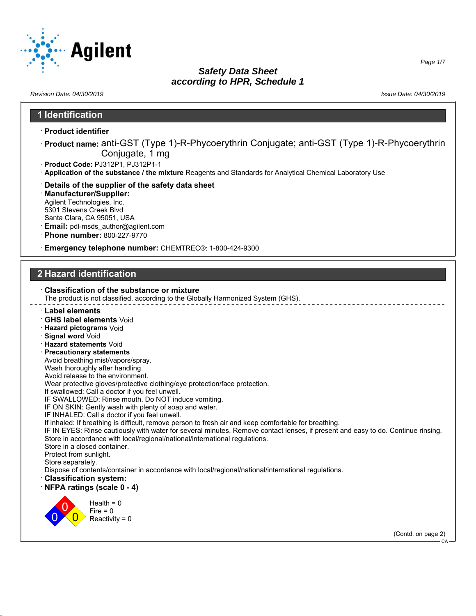

# *Safety Data Sheet*

*Page 1/7*

#### *according to HPR, Schedule 1 Revision Date: 04/30/2019 Issue Date: 04/30/2019* **1 Identification** · **Product identifier** · **Product name:** anti-GST (Type 1)-R-Phycoerythrin Conjugate; anti-GST (Type 1)-R-Phycoerythrin Conjugate, 1 mg · **Product Code:** PJ312P1, PJ312P1-1 · **Application of the substance / the mixture** Reagents and Standards for Analytical Chemical Laboratory Use · **Details of the supplier of the safety data sheet** · **Manufacturer/Supplier:** Agilent Technologies, Inc. 5301 Stevens Creek Blvd Santa Clara, CA 95051, USA · **Email:** pdl-msds\_author@agilent.com · **Phone number:** 800-227-9770 · **Emergency telephone number:** CHEMTREC®: 1-800-424-9300 **2 Hazard identification** · **Classification of the substance or mixture** The product is not classified, according to the Globally Harmonized System (GHS). · **Label elements** · **GHS label elements** Void · **Hazard pictograms** Void · **Signal word** Void · **Hazard statements** Void · **Precautionary statements** Avoid breathing mist/vapors/spray. Wash thoroughly after handling. Avoid release to the environment. Wear protective gloves/protective clothing/eye protection/face protection. If swallowed: Call a doctor if you feel unwell. IF SWALLOWED: Rinse mouth. Do NOT induce vomiting. IF ON SKIN: Gently wash with plenty of soap and water. IF INHALED: Call a doctor if you feel unwell. If inhaled: If breathing is difficult, remove person to fresh air and keep comfortable for breathing. IF IN EYES: Rinse cautiously with water for several minutes. Remove contact lenses, if present and easy to do. Continue rinsing. Store in accordance with local/regional/national/international regulations. Store in a closed container. Protect from sunlight. Store separately. Dispose of contents/container in accordance with local/regional/national/international regulations. · **Classification system:** · **NFPA ratings (scale 0 - 4)** 0 0  $\overline{\mathbf{0}}$  $Health = 0$  $Fire = 0$  $Reactivity = 0$ (Contd. on page 2)  $C_A$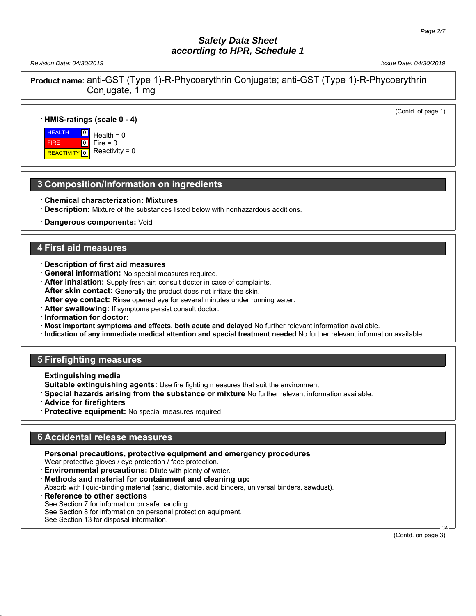*Revision Date: 04/30/2019 Issue Date: 04/30/2019*

(Contd. of page 1)

**Product name:** anti-GST (Type 1)-R-Phycoerythrin Conjugate; anti-GST (Type 1)-R-Phycoerythrin Conjugate, 1 mg

#### · **HMIS-ratings (scale 0 - 4)**

**HEALTH**  FIRE **REACTIVITY** 

 $\overline{0}$  $\overline{0}$  $\overline{10}$  $Health = 0$  $Fire = 0$ Reactivity  $= 0$ 

## **3 Composition/Information on ingredients**

- · **Chemical characterization: Mixtures**
- · **Description:** Mixture of the substances listed below with nonhazardous additions.
- **Dangerous components: Void**

#### **4 First aid measures**

- · **Description of first aid measures**
- · **General information:** No special measures required.
- · **After inhalation:** Supply fresh air; consult doctor in case of complaints.
- · **After skin contact:** Generally the product does not irritate the skin.
- · **After eye contact:** Rinse opened eye for several minutes under running water.
- · **After swallowing:** If symptoms persist consult doctor.
- · **Information for doctor:**
- · **Most important symptoms and effects, both acute and delayed** No further relevant information available.
- · **Indication of any immediate medical attention and special treatment needed** No further relevant information available.

## **5 Firefighting measures**

- · **Extinguishing media**
- · **Suitable extinguishing agents:** Use fire fighting measures that suit the environment.
- · **Special hazards arising from the substance or mixture** No further relevant information available.
- · **Advice for firefighters**
- Protective equipment: No special measures required.

## **6 Accidental release measures**

- · **Personal precautions, protective equipment and emergency procedures** Wear protective gloves / eye protection / face protection.
- · **Environmental precautions:** Dilute with plenty of water.
- · **Methods and material for containment and cleaning up:**
- Absorb with liquid-binding material (sand, diatomite, acid binders, universal binders, sawdust).
- **Reference to other sections**

See Section 7 for information on safe handling.

See Section 8 for information on personal protection equipment.

See Section 13 for disposal information.

(Contd. on page 3)

CA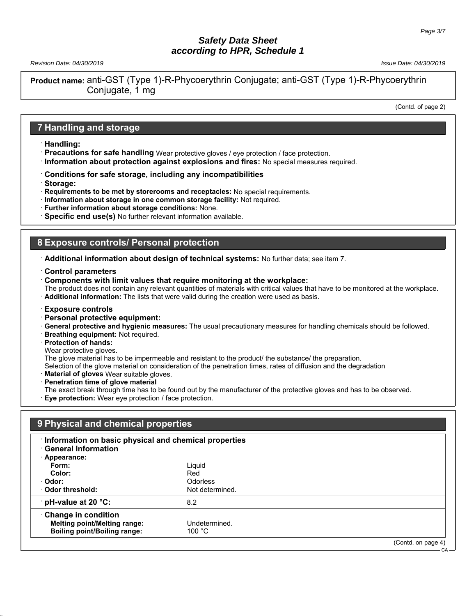*Revision Date: 04/30/2019 Issue Date: 04/30/2019*

**Product name:** anti-GST (Type 1)-R-Phycoerythrin Conjugate; anti-GST (Type 1)-R-Phycoerythrin Conjugate, 1 mg

(Contd. of page 2)

CA

#### **7 Handling and storage**

- · **Handling:**
- · **Precautions for safe handling** Wear protective gloves / eye protection / face protection.
- · **Information about protection against explosions and fires:** No special measures required.
- · **Conditions for safe storage, including any incompatibilities**
- · **Storage:**
- · **Requirements to be met by storerooms and receptacles:** No special requirements.
- · **Information about storage in one common storage facility:** Not required.
- · **Further information about storage conditions:** None.
- · **Specific end use(s)** No further relevant information available.

#### **8 Exposure controls/ Personal protection**

- · **Additional information about design of technical systems:** No further data; see item 7.
- · **Control parameters**
- · **Components with limit values that require monitoring at the workplace:**

The product does not contain any relevant quantities of materials with critical values that have to be monitored at the workplace. · **Additional information:** The lists that were valid during the creation were used as basis.

- · **Exposure controls**
- · **Personal protective equipment:**

· **General protective and hygienic measures:** The usual precautionary measures for handling chemicals should be followed.

- · **Breathing equipment:** Not required.
- · **Protection of hands:**
- Wear protective gloves.

The glove material has to be impermeable and resistant to the product/ the substance/ the preparation.

- Selection of the glove material on consideration of the penetration times, rates of diffusion and the degradation
- **Material of gloves** Wear suitable gloves.
- · **Penetration time of glove material**

The exact break through time has to be found out by the manufacturer of the protective gloves and has to be observed.

**Eye protection:** Wear eye protection / face protection.

| 9 Physical and chemical properties                                                                         |                         |                    |
|------------------------------------------------------------------------------------------------------------|-------------------------|--------------------|
| Information on basic physical and chemical properties<br><b>General Information</b><br>$\cdot$ Appearance: |                         |                    |
| Form:                                                                                                      | Liguid                  |                    |
| Color:                                                                                                     | Red                     |                    |
| · Odor:                                                                                                    | Odorless                |                    |
| Odor threshold:                                                                                            | Not determined.         |                    |
| pH-value at 20 $^{\circ}$ C:                                                                               | 8.2                     |                    |
| <b>Change in condition</b><br><b>Melting point/Melting range:</b><br><b>Boiling point/Boiling range:</b>   | Undetermined.<br>100 °C |                    |
|                                                                                                            |                         | (Contd. on page 4) |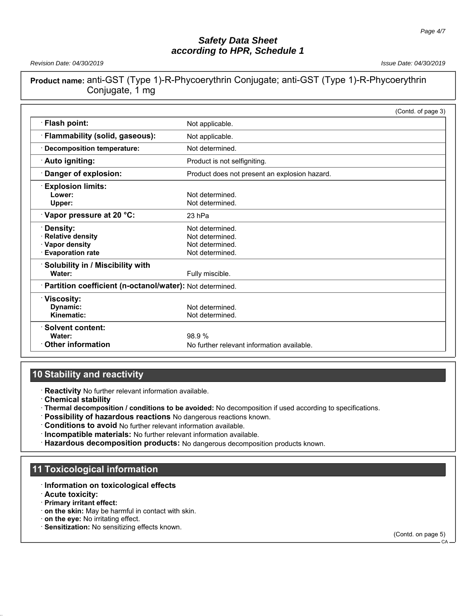*Revision Date: 04/30/2019 Issue Date: 04/30/2019*

**Product name:** anti-GST (Type 1)-R-Phycoerythrin Conjugate; anti-GST (Type 1)-R-Phycoerythrin Conjugate, 1 mg

|                                                          |                                               | (Contd. of page 3) |
|----------------------------------------------------------|-----------------------------------------------|--------------------|
| Flash point:                                             | Not applicable.                               |                    |
| Flammability (solid, gaseous):                           | Not applicable.                               |                    |
| <b>Decomposition temperature:</b>                        | Not determined.                               |                    |
| Auto igniting:                                           | Product is not selfigniting.                  |                    |
| Danger of explosion:                                     | Product does not present an explosion hazard. |                    |
| <b>Explosion limits:</b>                                 |                                               |                    |
| Lower:                                                   | Not determined.                               |                    |
| Upper:                                                   | Not determined.                               |                    |
| Vapor pressure at 20 °C:                                 | 23 hPa                                        |                    |
| Density:                                                 | Not determined.                               |                    |
| <b>Relative density</b>                                  | Not determined.                               |                    |
| · Vapor density                                          | Not determined.                               |                    |
| <b>Evaporation rate</b>                                  | Not determined.                               |                    |
| Solubility in / Miscibility with                         |                                               |                    |
| Water:                                                   | Fully miscible.                               |                    |
| Partition coefficient (n-octanol/water): Not determined. |                                               |                    |
| <b>Viscosity:</b>                                        |                                               |                    |
| Dynamic:                                                 | Not determined.                               |                    |
| Kinematic:                                               | Not determined.                               |                    |
| <b>Solvent content:</b>                                  |                                               |                    |
| Water:                                                   | 98.9%                                         |                    |
| <b>Other information</b>                                 | No further relevant information available.    |                    |

## **10 Stability and reactivity**

· **Reactivity** No further relevant information available.

- · **Chemical stability**
- · **Thermal decomposition / conditions to be avoided:** No decomposition if used according to specifications.
- · **Possibility of hazardous reactions** No dangerous reactions known.
- · **Conditions to avoid** No further relevant information available.
- · **Incompatible materials:** No further relevant information available.
- · **Hazardous decomposition products:** No dangerous decomposition products known.

## **11 Toxicological information**

- · **Information on toxicological effects**
- · **Acute toxicity:**
- · **Primary irritant effect:**
- · **on the skin:** May be harmful in contact with skin.
- · **on the eye:** No irritating effect.
- · **Sensitization:** No sensitizing effects known.

(Contd. on page 5)

CA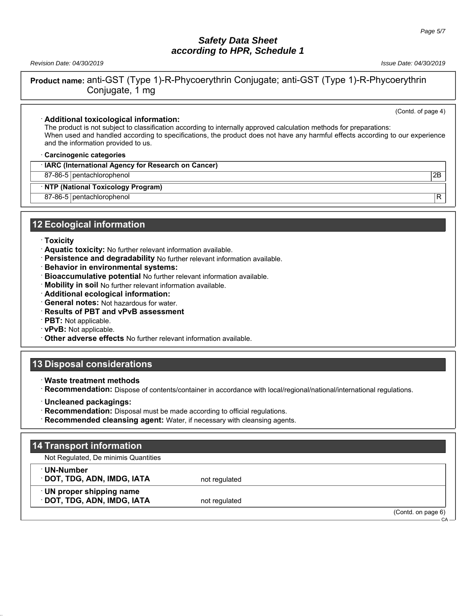*Revision Date: 04/30/2019 Issue Date: 04/30/2019*

(Contd. of page 4)

**Product name:** anti-GST (Type 1)-R-Phycoerythrin Conjugate; anti-GST (Type 1)-R-Phycoerythrin Conjugate, 1 mg

#### · **Additional toxicological information:**

The product is not subject to classification according to internally approved calculation methods for preparations: When used and handled according to specifications, the product does not have any harmful effects according to our experience and the information provided to us.

· **Carcinogenic categories**

· **IARC (International Agency for Research on Cancer)**

87-86-5 pentachlorophenol 2B

· **NTP (National Toxicology Program)**

87-86-5 pentachlorophenol R

## **12 Ecological information**

#### · **Toxicity**

- · **Aquatic toxicity:** No further relevant information available.
- · **Persistence and degradability** No further relevant information available.
- · **Behavior in environmental systems:**
- · **Bioaccumulative potential** No further relevant information available.
- · **Mobility in soil** No further relevant information available.
- · **Additional ecological information:**
- · **General notes:** Not hazardous for water.
- · **Results of PBT and vPvB assessment**
- · **PBT:** Not applicable.
- · **vPvB:** Not applicable.
- · **Other adverse effects** No further relevant information available.

## **13 Disposal considerations**

· **Waste treatment methods**

· **Recommendation:** Dispose of contents/container in accordance with local/regional/national/international regulations.

- · **Uncleaned packagings:**
- · **Recommendation:** Disposal must be made according to official regulations.

· **Recommended cleansing agent:** Water, if necessary with cleansing agents.

## **14 Transport information**

Not Regulated, De minimis Quantities

· **UN-Number**

**DOT, TDG, ADN, IMDG, IATA** not regulated

· **UN proper shipping name DOT, TDG, ADN, IMDG, IATA** not regulated

(Contd. on page 6)

CA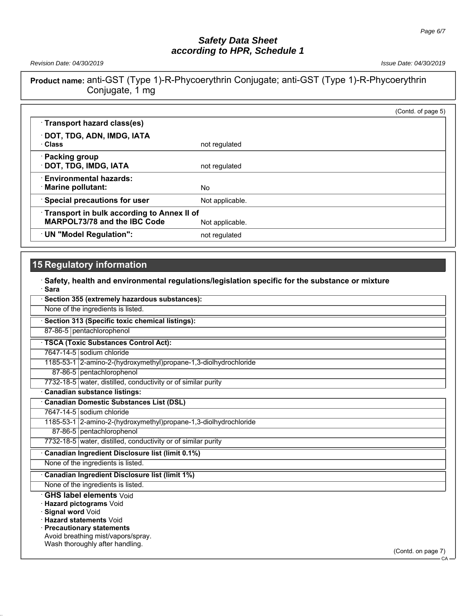*Revision Date: 04/30/2019 Issue Date: 04/30/2019*

**Product name:** anti-GST (Type 1)-R-Phycoerythrin Conjugate; anti-GST (Type 1)-R-Phycoerythrin Conjugate, 1 mg

|                                                                                          | (Contd. of page 5) |
|------------------------------------------------------------------------------------------|--------------------|
| Transport hazard class(es)                                                               |                    |
| · DOT, TDG, ADN, IMDG, IATA<br>· Class                                                   | not regulated      |
| <b>Packing group</b><br>DOT, TDG, IMDG, IATA                                             | not regulated      |
| <b>Environmental hazards:</b><br>· Marine pollutant:                                     | No                 |
| <b>Special precautions for user</b>                                                      | Not applicable.    |
| <b>Transport in bulk according to Annex II of</b><br><b>MARPOL73/78 and the IBC Code</b> | Not applicable.    |
| UN "Model Regulation":                                                                   | not regulated      |

# **15 Regulatory information**

| Safety, health and environmental regulations/legislation specific for the substance or mixture<br><b>Sara</b>                                                                     |
|-----------------------------------------------------------------------------------------------------------------------------------------------------------------------------------|
| Section 355 (extremely hazardous substances):                                                                                                                                     |
| None of the ingredients is listed.                                                                                                                                                |
| Section 313 (Specific toxic chemical listings):                                                                                                                                   |
| 87-86-5 pentachlorophenol                                                                                                                                                         |
| · TSCA (Toxic Substances Control Act):                                                                                                                                            |
| 7647-14-5 sodium chloride                                                                                                                                                         |
| 1185-53-1 2-amino-2-(hydroxymethyl) propane-1, 3-diolhydrochloride                                                                                                                |
| 87-86-5 pentachlorophenol                                                                                                                                                         |
| 7732-18-5 water, distilled, conductivity or of similar purity                                                                                                                     |
| <b>Canadian substance listings:</b>                                                                                                                                               |
| <b>Canadian Domestic Substances List (DSL)</b>                                                                                                                                    |
| 7647-14-5 sodium chloride                                                                                                                                                         |
| 1185-53-1 2-amino-2-(hydroxymethyl)propane-1,3-diolhydrochloride                                                                                                                  |
| 87-86-5 pentachlorophenol                                                                                                                                                         |
| 7732-18-5 water, distilled, conductivity or of similar purity                                                                                                                     |
| Canadian Ingredient Disclosure list (limit 0.1%)                                                                                                                                  |
| None of the ingredients is listed.                                                                                                                                                |
| <b>Canadian Ingredient Disclosure list (limit 1%)</b>                                                                                                                             |
| None of the ingredients is listed.                                                                                                                                                |
| <b>GHS label elements Void</b><br>Hazard pictograms Void<br>Signal word Void<br><b>Hazard statements Void</b><br>· Precautionary statements<br>Avoid breathing mist/vapors/spray. |
| Wash thoroughly after handling.<br>$(Contd)$ on nage $7)$                                                                                                                         |

(Contd. on page 7) - CA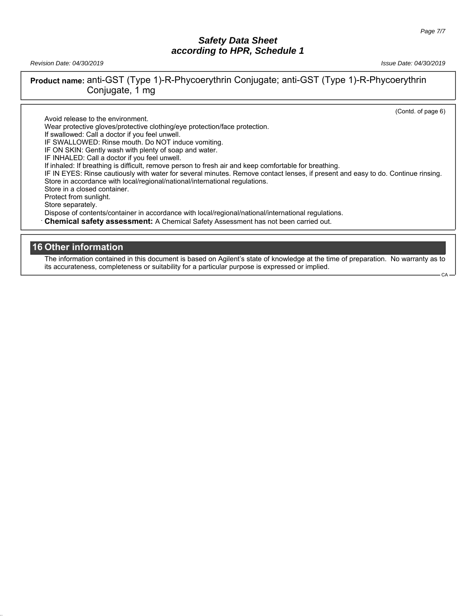*Revision Date: 04/30/2019 Issue Date: 04/30/2019*

**Product name:** anti-GST (Type 1)-R-Phycoerythrin Conjugate; anti-GST (Type 1)-R-Phycoerythrin Conjugate, 1 mg

(Contd. of page 6)

CA

Avoid release to the environment. Wear protective gloves/protective clothing/eye protection/face protection. If swallowed: Call a doctor if you feel unwell. IF SWALLOWED: Rinse mouth. Do NOT induce vomiting. IF ON SKIN: Gently wash with plenty of soap and water. IF INHALED: Call a doctor if you feel unwell. If inhaled: If breathing is difficult, remove person to fresh air and keep comfortable for breathing. IF IN EYES: Rinse cautiously with water for several minutes. Remove contact lenses, if present and easy to do. Continue rinsing. Store in accordance with local/regional/national/international regulations. Store in a closed container. Protect from sunlight. Store separately. Dispose of contents/container in accordance with local/regional/national/international regulations. · **Chemical safety assessment:** A Chemical Safety Assessment has not been carried out.

## **16 Other information**

The information contained in this document is based on Agilent's state of knowledge at the time of preparation. No warranty as to its accurateness, completeness or suitability for a particular purpose is expressed or implied.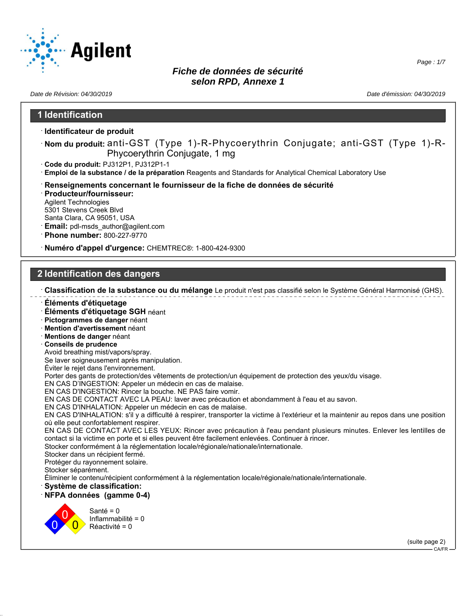

*Date de Révision: 04/30/2019 Date d'émission: 04/30/2019*

#### **1 Identification** · **Identificateur de produit** · **Nom du produit:** anti-GST (Type 1)-R-Phycoerythrin Conjugate; anti-GST (Type 1)-R-Phycoerythrin Conjugate, 1 mg · **Code du produit:** PJ312P1, PJ312P1-1 · **Emploi de la substance / de la préparation** Reagents and Standards for Analytical Chemical Laboratory Use · **Renseignements concernant le fournisseur de la fiche de données de sécurité** · **Producteur/fournisseur:** Agilent Technologies 5301 Stevens Creek Blvd Santa Clara, CA 95051, USA · **Email:** pdl-msds\_author@agilent.com · **Phone number:** 800-227-9770 · **Numéro d'appel d'urgence:** CHEMTREC®: 1-800-424-9300 **2 Identification des dangers** · **Classification de la substance ou du mélange** Le produit n'est pas classifié selon le Système Général Harmonisé (GHS). · **Éléments d'étiquetage** · **Éléments d'étiquetage SGH** néant · **Pictogrammes de danger** néant · **Mention d'avertissement** néant · **Mentions de danger** néant · **Conseils de prudence** Avoid breathing mist/vapors/spray. Se laver soigneusement après manipulation. Éviter le rejet dans l'environnement. Porter des gants de protection/des vêtements de protection/un équipement de protection des yeux/du visage. EN CAS D'INGESTION: Appeler un médecin en cas de malaise. EN CAS D'INGESTION: Rincer la bouche. NE PAS faire vomir. EN CAS DE CONTACT AVEC LA PEAU: laver avec précaution et abondamment à l'eau et au savon. EN CAS D'INHALATION: Appeler un médecin en cas de malaise. EN CAS D'INHALATION: s'il y a difficulté à respirer, transporter la victime à l'extérieur et la maintenir au repos dans une position où elle peut confortablement respirer. EN CAS DE CONTACT AVEC LES YEUX: Rincer avec précaution à l'eau pendant plusieurs minutes. Enlever les lentilles de contact si la victime en porte et si elles peuvent être facilement enlevées. Continuer à rincer. Stocker conformément à la réglementation locale/régionale/nationale/internationale. Stocker dans un récipient fermé. Protéger du rayonnement solaire. Stocker séparément. Éliminer le contenu/récipient conformément à la réglementation locale/régionale/nationale/internationale. · **Système de classification:** · **NFPA données (gamme 0-4)** 0 0  $\overline{0}$ Santé = 0 Inflammabilité = 0 Réactivité = 0 (suite page 2) CA/FR

*Page : 1/7*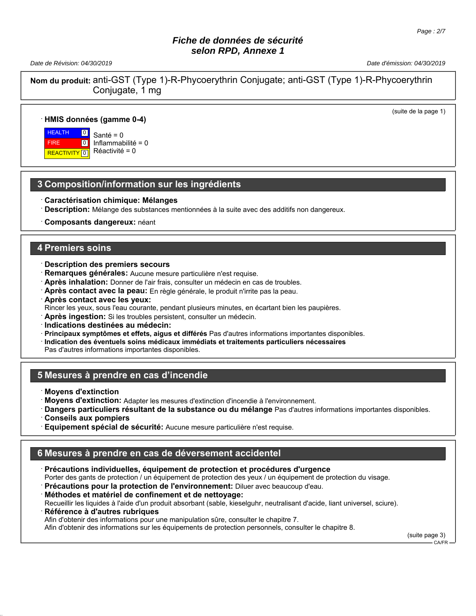*Date de Révision: 04/30/2019 Date d'émission: 04/30/2019*

(suite de la page 1)

**Nom du produit:** anti-GST (Type 1)-R-Phycoerythrin Conjugate; anti-GST (Type 1)-R-Phycoerythrin Conjugate, 1 mg

#### · **HMIS données (gamme 0-4)**

 HEALTH FIRE **REACTIVITY**  $\overline{0}$  $\boxed{0}$  $\overline{10}$ 

Santé = 0 Inflammabilité = 0 Réactivité = 0

## **3 Composition/information sur les ingrédients**

- · **Caractérisation chimique: Mélanges**
- · **Description:** Mélange des substances mentionnées à la suite avec des additifs non dangereux.
- · **Composants dangereux:** néant

#### **4 Premiers soins**

- · **Description des premiers secours**
- · **Remarques générales:** Aucune mesure particulière n'est requise.
- · **Après inhalation:** Donner de l'air frais, consulter un médecin en cas de troubles.
- · **Après contact avec la peau:** En règle générale, le produit n'irrite pas la peau.
- · **Après contact avec les yeux:**
- Rincer les yeux, sous l'eau courante, pendant plusieurs minutes, en écartant bien les paupières.
- · **Après ingestion:** Si les troubles persistent, consulter un médecin.
- · **Indications destinées au médecin:**
- · **Principaux symptômes et effets, aigus et différés** Pas d'autres informations importantes disponibles.
- · **Indication des éventuels soins médicaux immédiats et traitements particuliers nécessaires**

Pas d'autres informations importantes disponibles.

## **5 Mesures à prendre en cas d'incendie**

- · **Moyens d'extinction**
- · **Moyens d'extinction:** Adapter les mesures d'extinction d'incendie à l'environnement.
- · **Dangers particuliers résultant de la substance ou du mélange** Pas d'autres informations importantes disponibles.
- · **Conseils aux pompiers**
- · **Equipement spécial de sécurité:** Aucune mesure particulière n'est requise.

# **6 Mesures à prendre en cas de déversement accidentel**

- · **Précautions individuelles, équipement de protection et procédures d'urgence** Porter des gants de protection / un équipement de protection des yeux / un équipement de protection du visage.
- · **Précautions pour la protection de l'environnement:** Diluer avec beaucoup d'eau.
- · **Méthodes et matériel de confinement et de nettoyage:**

Recueillir les liquides à l'aide d'un produit absorbant (sable, kieselguhr, neutralisant d'acide, liant universel, sciure).

· **Référence à d'autres rubriques**

Afin d'obtenir des informations pour une manipulation sûre, consulter le chapitre 7.

Afin d'obtenir des informations sur les équipements de protection personnels, consulter le chapitre 8.

(suite page 3)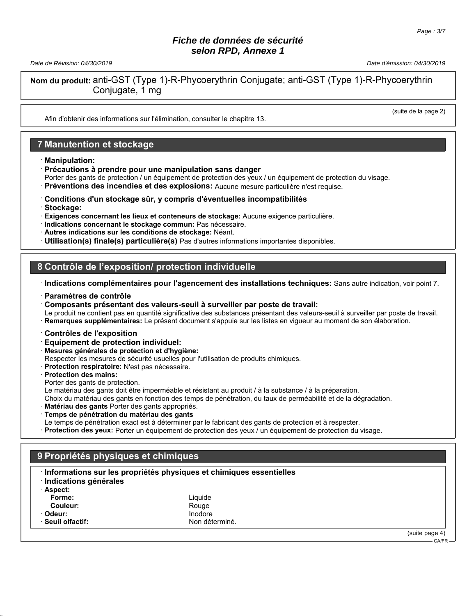*Date de Révision: 04/30/2019 Date d'émission: 04/30/2019*

**Nom du produit:** anti-GST (Type 1)-R-Phycoerythrin Conjugate; anti-GST (Type 1)-R-Phycoerythrin Conjugate, 1 mg

(suite de la page 2)

Afin d'obtenir des informations sur l'élimination, consulter le chapitre 13.

## **7 Manutention et stockage**

· **Manipulation:**

· **Précautions à prendre pour une manipulation sans danger**

Porter des gants de protection / un équipement de protection des yeux / un équipement de protection du visage.

- · **Préventions des incendies et des explosions:** Aucune mesure particulière n'est requise.
- · **Conditions d'un stockage sûr, y compris d'éventuelles incompatibilités**
- · **Stockage:**
- · **Exigences concernant les lieux et conteneurs de stockage:** Aucune exigence particulière.
- · **Indications concernant le stockage commun:** Pas nécessaire.
- · **Autres indications sur les conditions de stockage:** Néant.

· **Utilisation(s) finale(s) particulière(s)** Pas d'autres informations importantes disponibles.

## **8 Contrôle de l'exposition/ protection individuelle**

- · **Indications complémentaires pour l'agencement des installations techniques:** Sans autre indication, voir point 7.
- · **Paramètres de contrôle**
- · **Composants présentant des valeurs-seuil à surveiller par poste de travail:**

Le produit ne contient pas en quantité significative des substances présentant des valeurs-seuil à surveiller par poste de travail. · **Remarques supplémentaires:** Le présent document s'appuie sur les listes en vigueur au moment de son élaboration.

- · **Contrôles de l'exposition**
- · **Equipement de protection individuel:**
- · **Mesures générales de protection et d'hygiène:**

Respecter les mesures de sécurité usuelles pour l'utilisation de produits chimiques.

· **Protection respiratoire:** N'est pas nécessaire.

#### · **Protection des mains:**

Porter des gants de protection.

Le matériau des gants doit être imperméable et résistant au produit / à la substance / à la préparation.

Choix du matériau des gants en fonction des temps de pénétration, du taux de perméabilité et de la dégradation.

- **Matériau des gants** Porter des gants appropriés.
- · **Temps de pénétration du matériau des gants**
- Le temps de pénétration exact est à déterminer par le fabricant des gants de protection et à respecter.

· **Protection des yeux:** Porter un équipement de protection des yeux / un équipement de protection du visage.

## **9 Propriétés physiques et chimiques**

| · Indications générales | Informations sur les propriétés physiques et chimiques essentielles |                |
|-------------------------|---------------------------------------------------------------------|----------------|
| · Aspect:               |                                                                     |                |
| Forme:                  | Liauide                                                             |                |
| Couleur:                | Rouge                                                               |                |
| · Odeur:                | Inodore                                                             |                |
| · Seuil olfactif:       | Non déterminé.                                                      |                |
|                         |                                                                     | (suite page 4) |

CA/FR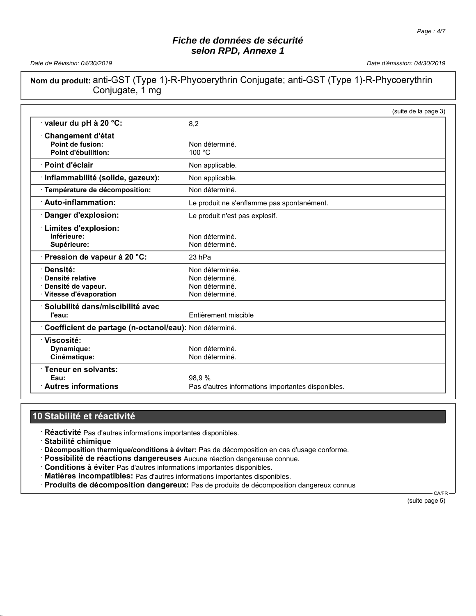*Date de Révision: 04/30/2019 Date d'émission: 04/30/2019*

**Nom du produit:** anti-GST (Type 1)-R-Phycoerythrin Conjugate; anti-GST (Type 1)-R-Phycoerythrin Conjugate, 1 mg

|                                                        | (suite de la page 3)                               |
|--------------------------------------------------------|----------------------------------------------------|
| valeur du pH à 20 °C:                                  | 8.2                                                |
| <b>Changement d'état</b>                               |                                                    |
| Point de fusion:                                       | Non déterminé.                                     |
| Point d'ébullition:                                    | 100 °C                                             |
| · Point d'éclair                                       | Non applicable.                                    |
| · Inflammabilité (solide, gazeux):                     | Non applicable.                                    |
| · Température de décomposition:                        | Non déterminé.                                     |
| <b>Auto-inflammation:</b>                              | Le produit ne s'enflamme pas spontanément.         |
| Danger d'explosion:                                    | Le produit n'est pas explosif.                     |
| <b>Limites d'explosion:</b>                            |                                                    |
| Inférieure:                                            | Non déterminé.                                     |
| Supérieure:                                            | Non déterminé.                                     |
| Pression de vapeur à 20 °C:                            | 23 hPa                                             |
| · Densité:                                             | Non déterminée.                                    |
| · Densité relative                                     | Non déterminé.                                     |
| Densité de vapeur.                                     | Non déterminé.                                     |
| · Vitesse d'évaporation                                | Non déterminé.                                     |
| · Solubilité dans/miscibilité avec                     |                                                    |
| l'eau:                                                 | Entièrement miscible                               |
| Coefficient de partage (n-octanol/eau): Non déterminé. |                                                    |
| ∵Viscosité:                                            |                                                    |
| Dynamique:                                             | Non déterminé.                                     |
| Cinématique:                                           | Non déterminé.                                     |
| · Teneur en solvants:                                  |                                                    |
| Eau:                                                   | 98.9%                                              |
| <b>Autres informations</b>                             | Pas d'autres informations importantes disponibles. |

## **10 Stabilité et réactivité**

· **Réactivité** Pas d'autres informations importantes disponibles.

· **Stabilité chimique**

· **Décomposition thermique/conditions à éviter:** Pas de décomposition en cas d'usage conforme.

- · **Possibilité de réactions dangereuses** Aucune réaction dangereuse connue.
- · **Conditions à éviter** Pas d'autres informations importantes disponibles.
- · **Matières incompatibles:** Pas d'autres informations importantes disponibles.

· **Produits de décomposition dangereux:** Pas de produits de décomposition dangereux connus

 CA/FR (suite page 5)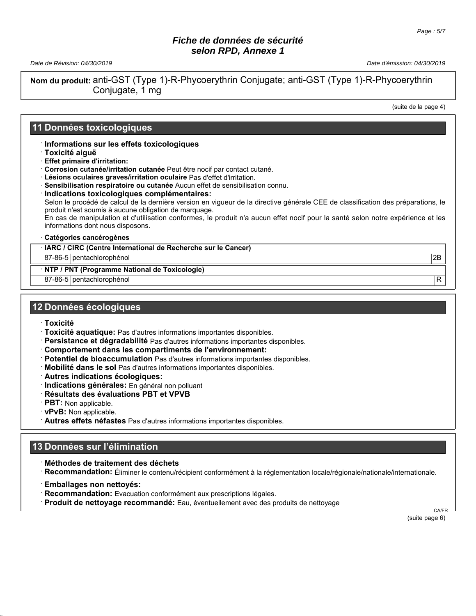*Date de Révision: 04/30/2019 Date d'émission: 04/30/2019*

**Nom du produit:** anti-GST (Type 1)-R-Phycoerythrin Conjugate; anti-GST (Type 1)-R-Phycoerythrin Conjugate, 1 mg

(suite de la page 4)

#### **11 Données toxicologiques**

· **Informations sur les effets toxicologiques**

- · **Toxicité aiguë**
- · **Effet primaire d'irritation:**
- · **Corrosion cutanée/irritation cutanée** Peut être nocif par contact cutané.
- · **Lésions oculaires graves/irritation oculaire** Pas d'effet d'irritation.
- · **Sensibilisation respiratoire ou cutanée** Aucun effet de sensibilisation connu.

· **Indications toxicologiques complémentaires:** Selon le procédé de calcul de la dernière version en vigueur de la directive générale CEE de classification des préparations, le produit n'est soumis à aucune obligation de marquage.

En cas de manipulation et d'utilisation conformes, le produit n'a aucun effet nocif pour la santé selon notre expérience et les informations dont nous disposons.

#### · **Catégories cancérogènes**

· **IARC / CIRC (Centre International de Recherche sur le Cancer)**

87-86-5 pentachlorophénol 2B

· **NTP / PNT (Programme National de Toxicologie)**

87-86-5 pentachlorophénol R

#### **12 Données écologiques**

- · **Toxicité**
- · **Toxicité aquatique:** Pas d'autres informations importantes disponibles.
- · **Persistance et dégradabilité** Pas d'autres informations importantes disponibles.
- · **Comportement dans les compartiments de l'environnement:**
- · **Potentiel de bioaccumulation** Pas d'autres informations importantes disponibles.
- · **Mobilité dans le sol** Pas d'autres informations importantes disponibles.
- · **Autres indications écologiques:**
- · **Indications générales:** En général non polluant
- · **Résultats des évaluations PBT et VPVB**
- · **PBT:** Non applicable.
- · **vPvB:** Non applicable.
- · **Autres effets néfastes** Pas d'autres informations importantes disponibles.

## **13 Données sur l'élimination**

· **Méthodes de traitement des déchets**

· **Recommandation:** Éliminer le contenu/récipient conformément à la réglementation locale/régionale/nationale/internationale.

- · **Emballages non nettoyés:**
- · **Recommandation:** Evacuation conformément aux prescriptions légales.
- · **Produit de nettoyage recommandé:** Eau, éventuellement avec des produits de nettoyage

 CA/FR (suite page 6)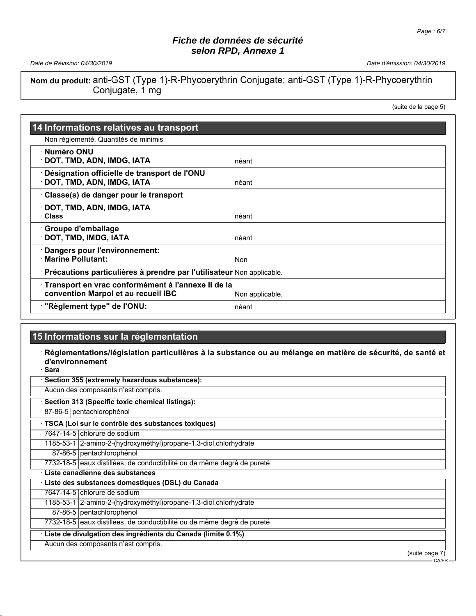*Date de Révision: 04/30/2019 Date d'émission: 04/30/2019*

**Nom du produit:** anti-GST (Type 1)-R-Phycoerythrin Conjugate; anti-GST (Type 1)-R-Phycoerythrin Conjugate, 1 mg

(suite de la page 5)

| 14 Informations relatives au transport                                                    |                 |
|-------------------------------------------------------------------------------------------|-----------------|
| Non réglementé, Quantités de minimis                                                      |                 |
| ∴Numéro ONU<br>· DOT, TMD, ADN, IMDG, IATA                                                | néant           |
| Désignation officielle de transport de l'ONU<br>DOT, TMD, ADN, IMDG, IATA                 | néant           |
| Classe(s) de danger pour le transport                                                     |                 |
| · DOT, TMD, ADN, IMDG, IATA<br>· Class                                                    | néant           |
| <b>Groupe d'emballage</b> ∙<br>· DOT, TMD, IMDG, IATA                                     | néant           |
| Dangers pour l'environnement:<br>· Marine Pollutant:                                      | <b>Non</b>      |
| · Précautions particulières à prendre par l'utilisateur Non applicable.                   |                 |
| Transport en vrac conformément à l'annexe II de la<br>convention Marpol et au recueil IBC | Non applicable. |
| "Règlement type" de l'ONU:                                                                | néant           |

# **15 Informations sur la réglementation**

· **Réglementations/législation particulières à la substance ou au mélange en matière de sécurité, de santé et d'environnement** · **Sara**

| Aucun des composants n'est compris.                                     |  |
|-------------------------------------------------------------------------|--|
| Section 313 (Specific toxic chemical listings):                         |  |
| 87-86-5   pentachlorophénol                                             |  |
| · TSCA (Loi sur le contrôle des substances toxiques)                    |  |
| 7647-14-5 chlorure de sodium                                            |  |
| 1185-53-1   2-amino-2-(hydroxyméthyl) propane-1, 3-diol, chlorhydrate   |  |
| 87-86-5   pentachlorophénol                                             |  |
| 7732-18-5 eaux distillées, de conductibilité ou de même degré de pureté |  |
| · Liste canadienne des substances                                       |  |
| · Liste des substances domestiques (DSL) du Canada                      |  |
| 7647-14-5 chlorure de sodium                                            |  |
| 1185-53-1   2-amino-2-(hydroxyméthyl) propane-1, 3-diol, chlorhydrate   |  |
| 87-86-5   pentachlorophénol                                             |  |
| 7732-18-5 eaux distillées, de conductibilité ou de même degré de pureté |  |
| Liste de divulgation des ingrédients du Canada (limite 0.1%)            |  |
| Aucun des composants n'est compris.                                     |  |